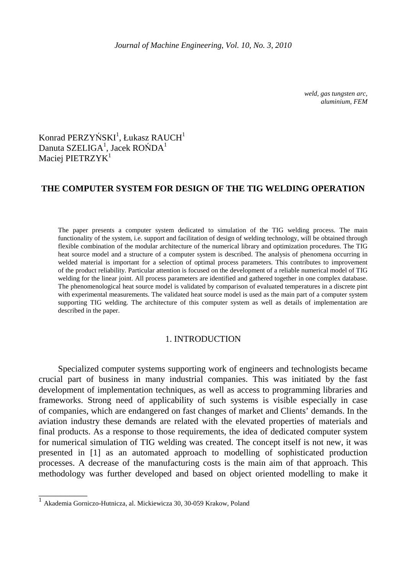*weld, gas tungsten arc, aluminium, FEM* 

# $K$ onrad PERZYŃS $\mathrm{KI}^1$ , Łukasz RAUCH $^1$ Danuta SZELIGA $^1$ , Jacek ROŃDA $^1$ Maciej PIETRZYK<sup>1</sup>

## **THE COMPUTER SYSTEM FOR DESIGN OF THE TIG WELDING OPERATION**

The paper presents a computer system dedicated to simulation of the TIG welding process. The main functionality of the system, i.e. support and facilitation of design of welding technology, will be obtained through flexible combination of the modular architecture of the numerical library and optimization procedures. The TIG heat source model and a structure of a computer system is described. The analysis of phenomena occurring in welded material is important for a selection of optimal process parameters. This contributes to improvement of the product reliability. Particular attention is focused on the development of a reliable numerical model of TIG welding for the linear joint. All process parameters are identified and gathered together in one complex database. The phenomenological heat source model is validated by comparison of evaluated temperatures in a discrete pint with experimental measurements. The validated heat source model is used as the main part of a computer system supporting TIG welding. The architecture of this computer system as well as details of implementation are described in the paper.

#### 1. INTRODUCTION

Specialized computer systems supporting work of engineers and technologists became crucial part of business in many industrial companies. This was initiated by the fast development of implementation techniques, as well as access to programming libraries and frameworks. Strong need of applicability of such systems is visible especially in case of companies, which are endangered on fast changes of market and Clients' demands. In the aviation industry these demands are related with the elevated properties of materials and final products. As a response to those requirements, the idea of dedicated computer system for numerical simulation of TIG welding was created. The concept itself is not new, it was presented in [1] as an automated approach to modelling of sophisticated production processes. A decrease of the manufacturing costs is the main aim of that approach. This methodology was further developed and based on object oriented modelling to make it

\_\_\_\_\_\_\_\_\_\_\_

<sup>1</sup> Akademia Gorniczo-Hutnicza, al. Mickiewicza 30, 30-059 Krakow, Poland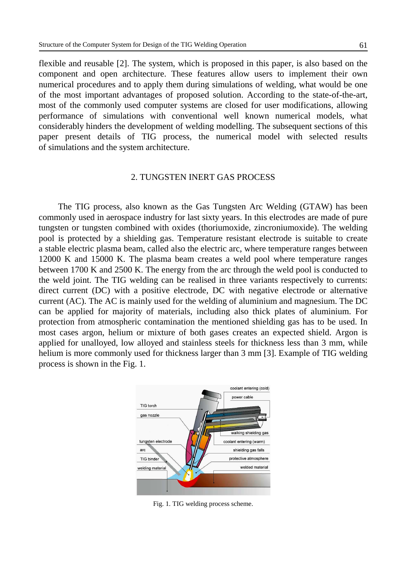flexible and reusable [2]. The system, which is proposed in this paper, is also based on the component and open architecture. These features allow users to implement their own numerical procedures and to apply them during simulations of welding, what would be one of the most important advantages of proposed solution. According to the state-of-the-art, most of the commonly used computer systems are closed for user modifications, allowing performance of simulations with conventional well known numerical models, what considerably hinders the development of welding modelling. The subsequent sections of this paper present details of TIG process, the numerical model with selected results of simulations and the system architecture.

#### 2. TUNGSTEN INERT GAS PROCESS

The TIG process, also known as the Gas Tungsten Arc Welding (GTAW) has been commonly used in aerospace industry for last sixty years. In this electrodes are made of pure tungsten or tungsten combined with oxides (thoriumoxide, zincroniumoxide). The welding pool is protected by a shielding gas. Temperature resistant electrode is suitable to create a stable electric plasma beam, called also the electric arc, where temperature ranges between 12000 K and 15000 K. The plasma beam creates a weld pool where temperature ranges between 1700 K and 2500 K. The energy from the arc through the weld pool is conducted to the weld joint. The TIG welding can be realised in three variants respectively to currents: direct current (DC) with a positive electrode, DC with negative electrode or alternative current (AC). The AC is mainly used for the welding of aluminium and magnesium. The DC can be applied for majority of materials, including also thick plates of aluminium. For protection from atmospheric contamination the mentioned shielding gas has to be used. In most cases argon, helium or mixture of both gases creates an expected shield. Argon is applied for unalloyed, low alloyed and stainless steels for thickness less than 3 mm, while helium is more commonly used for thickness larger than 3 mm [3]. Example of TIG welding process is shown in the Fig. 1.



Fig. 1. TIG welding process scheme.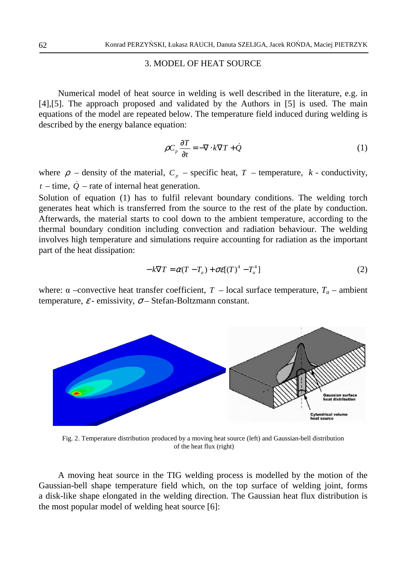#### 3. MODEL OF HEAT SOURCE

Numerical model of heat source in welding is well described in the literature, e.g. in [4],[5]. The approach proposed and validated by the Authors in [5] is used. The main equations of the model are repeated below. The temperature field induced during welding is described by the energy balance equation:

$$
\rho C_p \frac{\partial T}{\partial t} = -\nabla \cdot k \nabla T + \dot{Q}
$$
 (1)

where  $\rho$  – density of the material,  $C_p$  – specific heat,  $T$  – temperature,  $k$  - conductivity,  $t -$  time,  $\dot{Q}$  – rate of internal heat generation.

Solution of equation (1) has to fulfil relevant boundary conditions. The welding torch generates heat which is transferred from the source to the rest of the plate by conduction. Afterwards, the material starts to cool down to the ambient temperature, according to the thermal boundary condition including convection and radiation behaviour. The welding involves high temperature and simulations require accounting for radiation as the important part of the heat dissipation:

$$
-k\nabla T = \alpha (T - T_a) + \sigma \varepsilon [(T)^4 - T_a^4]
$$
\n(2)

where:  $\alpha$  –convective heat transfer coefficient,  $T$  – local surface temperature,  $T_a$  – ambient temperature,  $\varepsilon$  - emissivity,  $\sigma$  – Stefan-Boltzmann constant.



Fig. 2. Temperature distribution produced by a moving heat source (left) and Gaussian-bell distribution of the heat flux (right)

A moving heat source in the TIG welding process is modelled by the motion of the Gaussian-bell shape temperature field which, on the top surface of welding joint, forms a disk-like shape elongated in the welding direction. The Gaussian heat flux distribution is the most popular model of welding heat source [6]: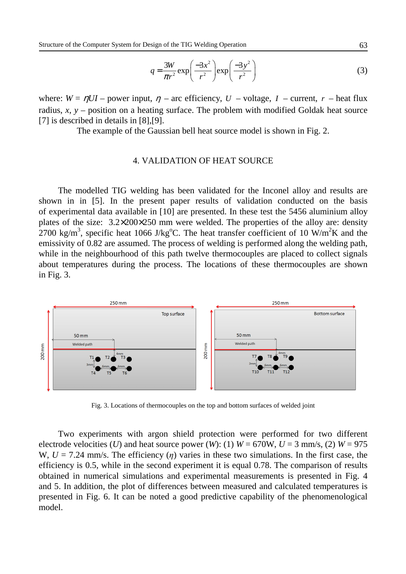$$
q = \frac{3W}{\pi r^2} \exp\left(\frac{-3x^2}{r^2}\right) \exp\left(\frac{-3y^2}{r^2}\right)
$$
 (3)

where:  $W = \eta U I$  – power input,  $\eta$  – arc efficiency,  $U$  – voltage,  $I$  – current,  $r$  – heat flux radius, *x*, *y* – position on a heating surface. The problem with modified Goldak heat source [7] is described in details in [8], [9].

The example of the Gaussian bell heat source model is shown in Fig. 2.

#### 4. VALIDATION OF HEAT SOURCE

 The modelled TIG welding has been validated for the Inconel alloy and results are shown in in [5]. In the present paper results of validation conducted on the basis of experimental data available in [10] are presented. In these test the 5456 aluminium alloy plates of the size: 3.2×200×250 mm were welded. The properties of the alloy are: density 2700 kg/m<sup>3</sup>, specific heat 1066 J/kg<sup>o</sup>C. The heat transfer coefficient of 10 W/m<sup>2</sup>K and the emissivity of 0.82 are assumed. The process of welding is performed along the welding path, while in the neighbourhood of this path twelve thermocouples are placed to collect signals about temperatures during the process. The locations of these thermocouples are shown in Fig. 3.



Fig. 3. Locations of thermocouples on the top and bottom surfaces of welded joint

Two experiments with argon shield protection were performed for two different electrode velocities (*U*) and heat source power (*W*): (1)  $W = 670W$ ,  $U = 3$  mm/s, (2)  $W = 975$ W,  $U = 7.24$  mm/s. The efficiency  $(\eta)$  varies in these two simulations. In the first case, the efficiency is 0.5, while in the second experiment it is equal 0.78. The comparison of results obtained in numerical simulations and experimental measurements is presented in Fig. 4 and 5. In addition, the plot of differences between measured and calculated temperatures is presented in Fig. 6. It can be noted a good predictive capability of the phenomenological model.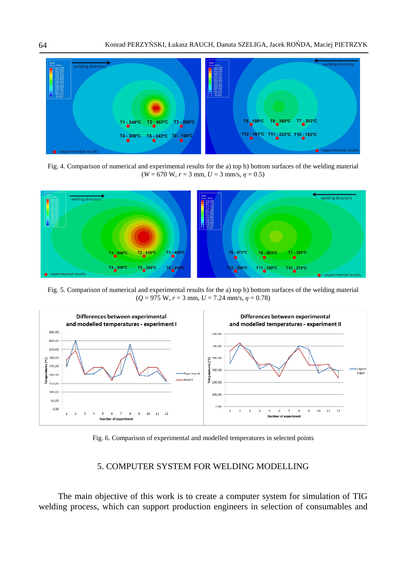

Fig. 4. Comparison of numerical and experimental results for the a) top b) bottom surfaces of the welding material  $(W = 670 \text{ W}, r = 3 \text{ mm}, U = 3 \text{ mm/s}, \eta = 0.5)$ 



Fig. 5. Comparison of numerical and experimental results for the a) top b) bottom surfaces of the welding material  $(Q = 975 \text{ W}, r = 3 \text{ mm}, U = 7.24 \text{ mm/s}, \eta = 0.78)$ 



Fig. 6. Comparison of experimental and modelled temperatures in selected points

### 5. COMPUTER SYSTEM FOR WELDING MODELLING

The main objective of this work is to create a computer system for simulation of TIG welding process, which can support production engineers in selection of consumables and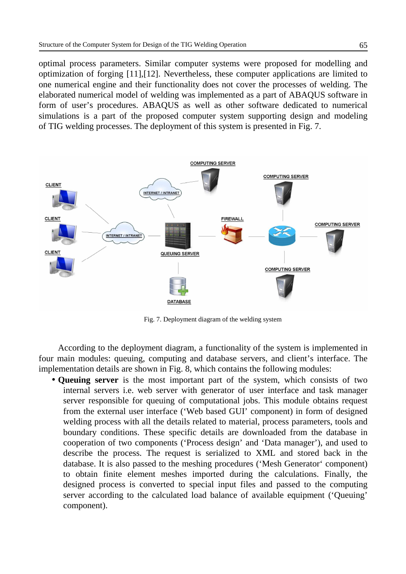optimal process parameters. Similar computer systems were proposed for modelling and optimization of forging [11],[12]. Nevertheless, these computer applications are limited to one numerical engine and their functionality does not cover the processes of welding. The elaborated numerical model of welding was implemented as a part of ABAQUS software in form of user's procedures. ABAQUS as well as other software dedicated to numerical simulations is a part of the proposed computer system supporting design and modeling of TIG welding processes. The deployment of this system is presented in Fig. 7.



Fig. 7. Deployment diagram of the welding system

According to the deployment diagram, a functionality of the system is implemented in four main modules: queuing, computing and database servers, and client's interface. The implementation details are shown in Fig. 8, which contains the following modules:

• **Queuing server** is the most important part of the system, which consists of two internal servers i.e. web server with generator of user interface and task manager server responsible for queuing of computational jobs. This module obtains request from the external user interface ('Web based GUI' component) in form of designed welding process with all the details related to material, process parameters, tools and boundary conditions. These specific details are downloaded from the database in cooperation of two components ('Process design' and 'Data manager'), and used to describe the process. The request is serialized to XML and stored back in the database. It is also passed to the meshing procedures ('Mesh Generator' component) to obtain finite element meshes imported during the calculations. Finally, the designed process is converted to special input files and passed to the computing server according to the calculated load balance of available equipment ('Queuing' component).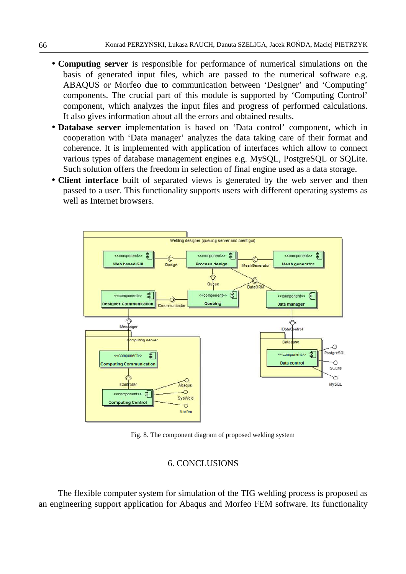- **Computing server** is responsible for performance of numerical simulations on the basis of generated input files, which are passed to the numerical software e.g. ABAQUS or Morfeo due to communication between 'Designer' and 'Computing' components. The crucial part of this module is supported by 'Computing Control' component, which analyzes the input files and progress of performed calculations. It also gives information about all the errors and obtained results.
- **Database server** implementation is based on 'Data control' component, which in cooperation with 'Data manager' analyzes the data taking care of their format and coherence. It is implemented with application of interfaces which allow to connect various types of database management engines e.g. MySQL, PostgreSQL or SQLite. Such solution offers the freedom in selection of final engine used as a data storage.
- **Client interface** built of separated views is generated by the web server and then passed to a user. This functionality supports users with different operating systems as well as Internet browsers.



Fig. 8. The component diagram of proposed welding system

#### 6. CONCLUSIONS

The flexible computer system for simulation of the TIG welding process is proposed as an engineering support application for Abaqus and Morfeo FEM software. Its functionality